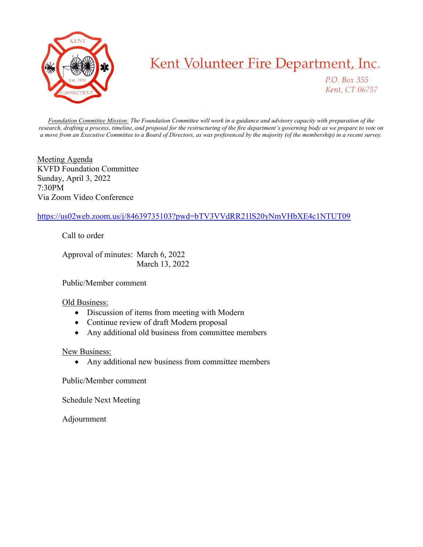

## Kent Volunteer Fire Department, Inc.

P.O. Box 355 Kent, CT 06757

Foundation Committee Mission: The Foundation Committee will work in a guidance and advisory capacity with preparation of the research, drafting a process, timeline, and proposal for the restructuring of the fire department's governing body as we prepare to vote on a move from an Executive Committee to a Board of Directors, as was preferenced by the majority (of the membership) in a recent survey.

Meeting Agenda KVFD Foundation Committee Sunday, April 3, 2022 7:30PM Via Zoom Video Conference

## https://us02web.zoom.us/j/84639735103?pwd=bTV3VVdRR21lS20yNmVHbXE4c1NTUT09

Call to order

 Approval of minutes: March 6, 2022 March 13, 2022

Public/Member comment

## Old Business:

- Discussion of items from meeting with Modern
- Continue review of draft Modern proposal
- Any additional old business from committee members

## New Business:

Any additional new business from committee members

Public/Member comment

Schedule Next Meeting

Adjournment